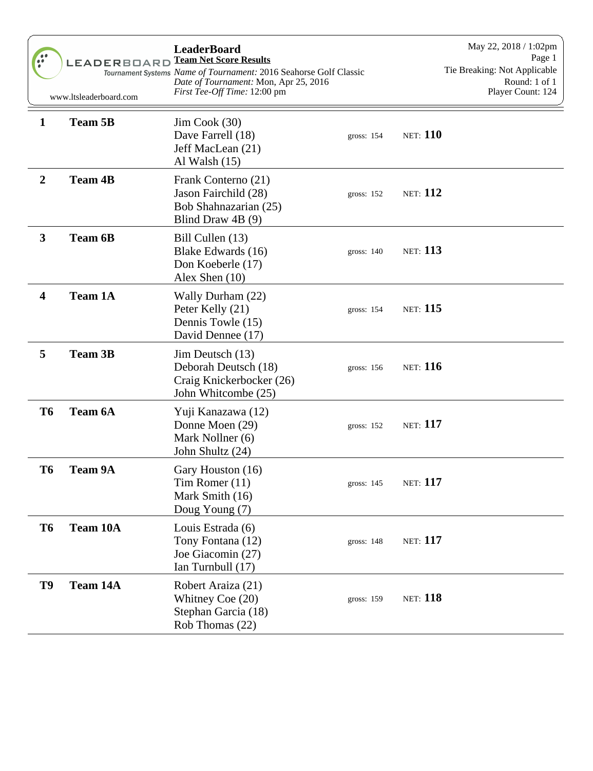| $\bullet \bullet$<br>$\bullet$ $\bullet$ | <b>LEADERBOARD</b><br>www.ltsleaderboard.com | <b>LeaderBoard</b><br><b>Team Net Score Results</b><br>Tournament Systems Name of Tournament: 2016 Seahorse Golf Classic<br>Date of Tournament: Mon, Apr 25, 2016<br>First Tee-Off Time: 12:00 pm |                 | May 22, 2018 / 1:02pm<br>Page 1<br>Tie Breaking: Not Applicable<br>Round: 1 of 1<br>Player Count: 124 |
|------------------------------------------|----------------------------------------------|---------------------------------------------------------------------------------------------------------------------------------------------------------------------------------------------------|-----------------|-------------------------------------------------------------------------------------------------------|
| $\mathbf{1}$                             | <b>Team 5B</b>                               | $Jim \, Cook \, (30)$<br>Dave Farrell (18)<br>gross: 154<br>Jeff MacLean (21)<br>Al Walsh $(15)$                                                                                                  | <b>NET:</b> 110 |                                                                                                       |
| $\boldsymbol{2}$                         | <b>Team 4B</b>                               | Frank Conterno (21)<br>Jason Fairchild (28)<br>gross: 152<br>Bob Shahnazarian (25)<br>Blind Draw 4B (9)                                                                                           | <b>NET:</b> 112 |                                                                                                       |
| $\mathbf{3}$                             | <b>Team 6B</b>                               | Bill Cullen (13)<br>Blake Edwards (16)<br>gross: $140$<br>Don Koeberle (17)<br>Alex Shen (10)                                                                                                     | <b>NET:</b> 113 |                                                                                                       |
| 4                                        | <b>Team 1A</b>                               | Wally Durham (22)<br>Peter Kelly (21)<br>gross: 154<br>Dennis Towle (15)<br>David Dennee (17)                                                                                                     | <b>NET:</b> 115 |                                                                                                       |
| 5                                        | <b>Team 3B</b>                               | Jim Deutsch (13)<br>Deborah Deutsch (18)<br>gross: 156<br>Craig Knickerbocker (26)<br>John Whitcombe (25)                                                                                         | <b>NET:</b> 116 |                                                                                                       |
| <b>T6</b>                                | <b>Team 6A</b>                               | Yuji Kanazawa (12)<br>Donne Moen (29)<br>gross: 152<br>Mark Nollner (6)<br>John Shultz (24)                                                                                                       | <b>NET:</b> 117 |                                                                                                       |
| T <sub>6</sub>                           | <b>Team 9A</b>                               | Gary Houston (16)<br>Tim Romer $(11)$<br>gross: 145<br>Mark Smith (16)<br>Doug Young (7)                                                                                                          | <b>NET:</b> 117 |                                                                                                       |
| T <sub>6</sub>                           | Team 10A                                     | Louis Estrada (6)<br>Tony Fontana (12)<br>gross: 148<br>Joe Giacomin (27)<br>Ian Turnbull (17)                                                                                                    | <b>NET:</b> 117 |                                                                                                       |
| T9                                       | Team 14A                                     | Robert Araiza (21)<br>Whitney Coe (20)<br>gross: 159<br>Stephan Garcia (18)<br>Rob Thomas (22)                                                                                                    | <b>NET:</b> 118 |                                                                                                       |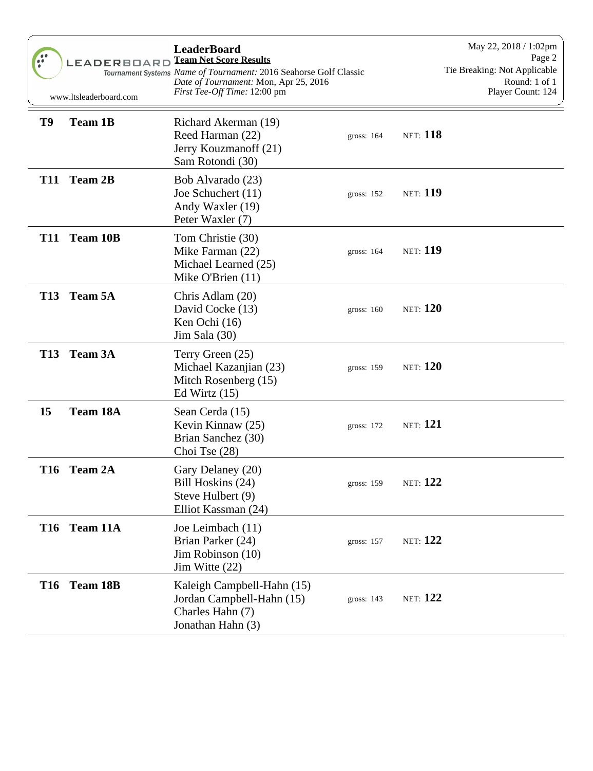| $\bullet \bullet$<br>$\ddot{\cdot}$ | <b>LEADERBOARD</b><br>www.ltsleaderboard.com | <b>LeaderBoard</b><br><b>Team Net Score Results</b><br>Tournament Systems Name of Tournament: 2016 Seahorse Golf Classic<br>Date of Tournament: Mon, Apr 25, 2016<br>First Tee-Off Time: 12:00 pm |              | May 22, 2018 / 1:02pm<br>Page 2<br>Tie Breaking: Not Applicable<br>Round: 1 of 1<br>Player Count: 124 |
|-------------------------------------|----------------------------------------------|---------------------------------------------------------------------------------------------------------------------------------------------------------------------------------------------------|--------------|-------------------------------------------------------------------------------------------------------|
| T9                                  | <b>Team 1B</b>                               | Richard Akerman (19)<br>Reed Harman (22)<br>Jerry Kouzmanoff (21)<br>Sam Rotondi (30)                                                                                                             | gross: $164$ | <b>NET:</b> 118                                                                                       |
| <b>T11</b>                          | <b>Team 2B</b>                               | Bob Alvarado (23)<br>Joe Schuchert (11)<br>Andy Waxler (19)<br>Peter Waxler (7)                                                                                                                   | gross: $152$ | <b>NET: 119</b>                                                                                       |
| <b>T11</b>                          | <b>Team 10B</b>                              | Tom Christie (30)<br>Mike Farman (22)<br>Michael Learned (25)<br>Mike O'Brien (11)                                                                                                                | gross: $164$ | <b>NET: 119</b>                                                                                       |
| <b>T13</b>                          | <b>Team 5A</b>                               | Chris Adlam (20)<br>David Cocke (13)<br>Ken Ochi (16)<br>Jim Sala (30)                                                                                                                            | gross: $160$ | <b>NET:</b> 120                                                                                       |
| <b>T13</b>                          | <b>Team 3A</b>                               | Terry Green (25)<br>Michael Kazanjian (23)<br>Mitch Rosenberg (15)<br>Ed Wirtz $(15)$                                                                                                             | gross: 159   | <b>NET:</b> 120                                                                                       |
| 15                                  | <b>Team 18A</b>                              | Sean Cerda (15)<br>Kevin Kinnaw (25)<br>Brian Sanchez (30)<br>Choi Tse (28)                                                                                                                       | gross: 172   | <b>NET:</b> 121                                                                                       |
| <b>T16</b>                          | <b>Team 2A</b>                               | Gary Delaney (20)<br>Bill Hoskins (24)<br>Steve Hulbert (9)<br>Elliot Kassman (24)                                                                                                                | gross: 159   | <b>NET:</b> 122                                                                                       |
| <b>T16</b>                          | Team 11A                                     | Joe Leimbach (11)<br>Brian Parker (24)<br>Jim Robinson (10)<br>Jim Witte $(22)$                                                                                                                   | gross: 157   | <b>NET:</b> 122                                                                                       |
| <b>T16</b>                          | <b>Team 18B</b>                              | Kaleigh Campbell-Hahn (15)<br>Jordan Campbell-Hahn (15)<br>Charles Hahn (7)<br>Jonathan Hahn (3)                                                                                                  | gross: 143   | <b>NET:</b> 122                                                                                       |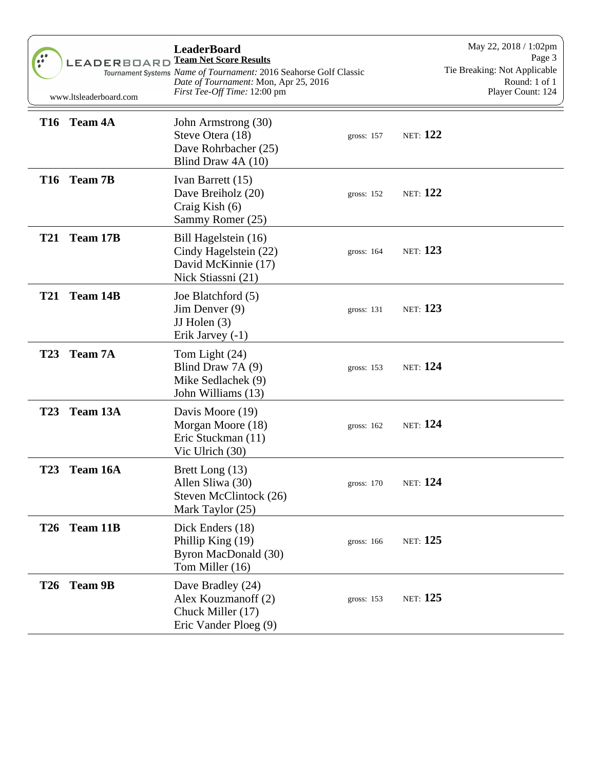| $\hat{a}$  | LEADERBOARD<br>www.ltsleaderboard.com | <b>LeaderBoard</b><br><b>Team Net Score Results</b><br>Tournament Systems Name of Tournament: 2016 Seahorse Golf Classic<br>Date of Tournament: Mon, Apr 25, 2016<br>First Tee-Off Time: 12:00 pm |              | May 22, 2018 / 1:02pm<br>Page 3<br>Tie Breaking: Not Applicable<br>Round: 1 of 1<br>Player Count: 124 |
|------------|---------------------------------------|---------------------------------------------------------------------------------------------------------------------------------------------------------------------------------------------------|--------------|-------------------------------------------------------------------------------------------------------|
|            | T16 Team 4A                           | John Armstrong (30)<br>Steve Otera (18)<br>Dave Rohrbacher (25)<br>Blind Draw 4A (10)                                                                                                             | gross: $157$ | <b>NET:</b> 122                                                                                       |
|            | T16 Team 7B                           | Ivan Barrett (15)<br>Dave Breiholz (20)<br>Craig Kish $(6)$<br>Sammy Romer (25)                                                                                                                   | gross: $152$ | <b>NET:</b> 122                                                                                       |
| <b>T21</b> | Team 17B                              | Bill Hagelstein (16)<br>Cindy Hagelstein (22)<br>David McKinnie (17)<br>Nick Stiassni (21)                                                                                                        | gross: $164$ | <b>NET:</b> 123                                                                                       |
| <b>T21</b> | Team 14B                              | Joe Blatchford (5)<br>Jim Denver (9)<br>JJ Holen $(3)$<br>Erik Jarvey (-1)                                                                                                                        | gross: 131   | <b>NET:</b> 123                                                                                       |
| <b>T23</b> | <b>Team 7A</b>                        | Tom Light (24)<br>Blind Draw 7A (9)<br>Mike Sedlachek (9)<br>John Williams (13)                                                                                                                   | gross: 153   | <b>NET:</b> 124                                                                                       |
| <b>T23</b> | Team 13A                              | Davis Moore (19)<br>Morgan Moore (18)<br>Eric Stuckman (11)<br>Vic Ulrich (30)                                                                                                                    | gross: $162$ | <b>NET:</b> 124                                                                                       |
| <b>T23</b> | Team 16A                              | Brett Long (13)<br>Allen Sliwa (30)<br>Steven McClintock (26)<br>Mark Taylor (25)                                                                                                                 | gross: 170   | <b>NET:</b> 124                                                                                       |
| <b>T26</b> | Team 11B                              | Dick Enders (18)<br>Phillip King $(19)$<br>Byron MacDonald (30)<br>Tom Miller (16)                                                                                                                | gross: 166   | <b>NET:</b> 125                                                                                       |
| <b>T26</b> | <b>Team 9B</b>                        | Dave Bradley (24)<br>Alex Kouzmanoff (2)<br>Chuck Miller (17)<br>Eric Vander Ploeg (9)                                                                                                            | gross: 153   | <b>NET:</b> 125                                                                                       |